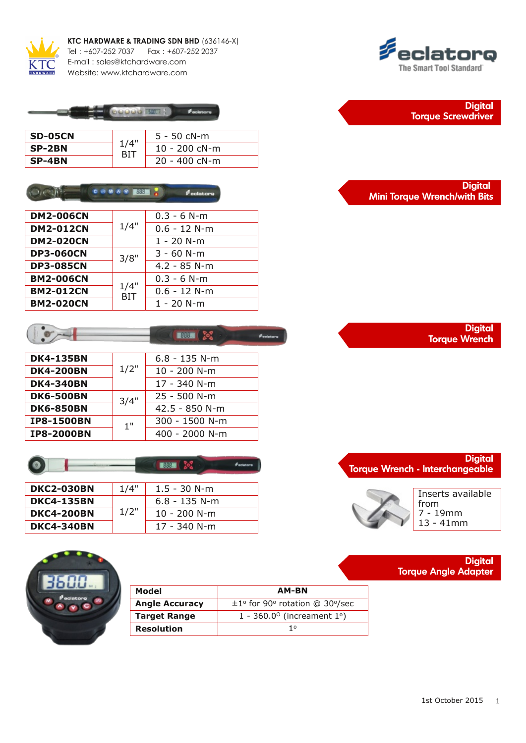

**KTC HARDWARE & TRADING SDN BHD** (636146-X) Tel : +607-252 7037 Fax : +607-252 2037 E-mail : sales@ktchardware.com

Website: www.ktchardware.com



| SD-05CN | 1/4" | $5 - 50$ cN-m    |
|---------|------|------------------|
| SP-2BN  |      | 10 - 200 $c$ N-m |
| SP-4BN  |      | $20 - 400$ cN-m  |

#### $\gamma$  and  $\overline{\mu}$ **CONSY ESS ?**  $\phi$  eclators

| <b>DM2-006CN</b> | 1/4"               | $0.3 - 6 N-m$  |  |
|------------------|--------------------|----------------|--|
| <b>DM2-012CN</b> |                    | $0.6 - 12 N-m$ |  |
| <b>DM2-020CN</b> |                    | $1 - 20$ N-m   |  |
| <b>DP3-060CN</b> | 3/8"               | $3 - 60$ N-m   |  |
| <b>DP3-085CN</b> |                    | $4.2 - 85$ N-m |  |
| <b>BM2-006CN</b> | 1/4"<br><b>BIT</b> | $0.3 - 6 N$ -m |  |
| <b>BM2-012CN</b> |                    | $0.6 - 12$ N-m |  |
| <b>BM2-020CN</b> |                    | $1 - 20$ N-m   |  |





| <b>DKC2-030BN</b> | 1/4" | $1.5 - 30$ N-m  |  |
|-------------------|------|-----------------|--|
| <b>DKC4-135BN</b> |      | $6.8 - 135$ N-m |  |
| <b>DKC4-200BN</b> | 1/2" | $10 - 200$ N-m  |  |
| <b>DKC4-340BN</b> |      | 17 - 340 N-m    |  |









Inserts available from 7 19mm  $13 - 41$ mm

**Torque Angle Adapter**

**Digital**

| Model                 | AM-BN                                           |
|-----------------------|-------------------------------------------------|
| <b>Angle Accuracy</b> | $\pm 1$ ° for 90° rotation @ 30°/sec            |
| <b>Target Range</b>   | 1 - 360.0 $^{\circ}$ (increament 1 $^{\circ}$ ) |
| <b>Resolution</b>     | 10                                              |
|                       |                                                 |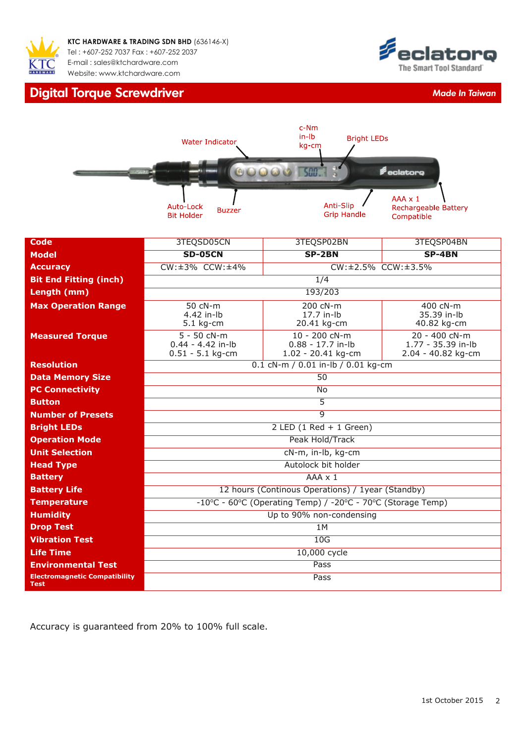

## **Digital Torque Screwdriver** *Made In Taiwan Made In Taiwan*





| <b>Code</b>                                         | 3TEQSD05CN                                                       | 3TEQSP02BN                                                 | 3TEQSP04BN                                                |  |  |  |  |
|-----------------------------------------------------|------------------------------------------------------------------|------------------------------------------------------------|-----------------------------------------------------------|--|--|--|--|
| <b>Model</b>                                        | <b>SD-05CN</b>                                                   | SP-2BN                                                     | SP-4BN                                                    |  |  |  |  |
| <b>Accuracy</b>                                     | $CW: \pm 3\%$ CCW: $\pm 4\%$<br>$CW: \pm 2.5\%$ CCW: $\pm 3.5\%$ |                                                            |                                                           |  |  |  |  |
| <b>Bit End Fitting (inch)</b>                       |                                                                  | 1/4                                                        |                                                           |  |  |  |  |
| Length (mm)                                         |                                                                  | 193/203                                                    |                                                           |  |  |  |  |
| <b>Max Operation Range</b>                          | 50 cN-m<br>4.42 in-lb<br>$5.1$ kg-cm                             | 200 cN-m<br>17.7 in-lb<br>20.41 kg-cm                      | 400 cN-m<br>35.39 in-lb<br>40.82 kg-cm                    |  |  |  |  |
| <b>Measured Torque</b>                              | 5 - 50 cN-m<br>$0.44 - 4.42$ in-lb<br>$0.51 - 5.1$ kg-cm         | 10 - 200 cN-m<br>$0.88 - 17.7$ in-lb<br>1.02 - 20.41 kg-cm | 20 - 400 cN-m<br>1.77 - 35.39 in-lb<br>2.04 - 40.82 kg-cm |  |  |  |  |
| <b>Resolution</b>                                   |                                                                  | 0.1 cN-m / 0.01 in-lb / 0.01 kg-cm                         |                                                           |  |  |  |  |
| <b>Data Memory Size</b>                             | $\overline{50}$                                                  |                                                            |                                                           |  |  |  |  |
| <b>PC Connectivity</b>                              | <b>No</b>                                                        |                                                            |                                                           |  |  |  |  |
| <b>Button</b>                                       | $\overline{5}$                                                   |                                                            |                                                           |  |  |  |  |
| <b>Number of Presets</b>                            | $\overline{q}$                                                   |                                                            |                                                           |  |  |  |  |
| <b>Bright LEDs</b>                                  | $2$ LED $(1$ Red + 1 Green)                                      |                                                            |                                                           |  |  |  |  |
| <b>Operation Mode</b>                               | Peak Hold/Track                                                  |                                                            |                                                           |  |  |  |  |
| <b>Unit Selection</b>                               | cN-m, in-lb, kg-cm                                               |                                                            |                                                           |  |  |  |  |
| <b>Head Type</b>                                    | Autolock bit holder                                              |                                                            |                                                           |  |  |  |  |
| <b>Battery</b>                                      | $AAA \times 1$                                                   |                                                            |                                                           |  |  |  |  |
| <b>Battery Life</b>                                 | 12 hours (Continous Operations) / 1year (Standby)                |                                                            |                                                           |  |  |  |  |
| <b>Temperature</b>                                  | -10°C - 60°C (Operating Temp) / -20°C - 70°C (Storage Temp)      |                                                            |                                                           |  |  |  |  |
| <b>Humidity</b>                                     | Up to 90% non-condensing                                         |                                                            |                                                           |  |  |  |  |
| <b>Drop Test</b>                                    | 1M                                                               |                                                            |                                                           |  |  |  |  |
| <b>Vibration Test</b>                               | 10G                                                              |                                                            |                                                           |  |  |  |  |
| <b>Life Time</b>                                    | 10,000 cycle                                                     |                                                            |                                                           |  |  |  |  |
| <b>Environmental Test</b>                           |                                                                  | Pass                                                       |                                                           |  |  |  |  |
| <b>Electromagnetic Compatibility</b><br><b>Test</b> |                                                                  | Pass                                                       |                                                           |  |  |  |  |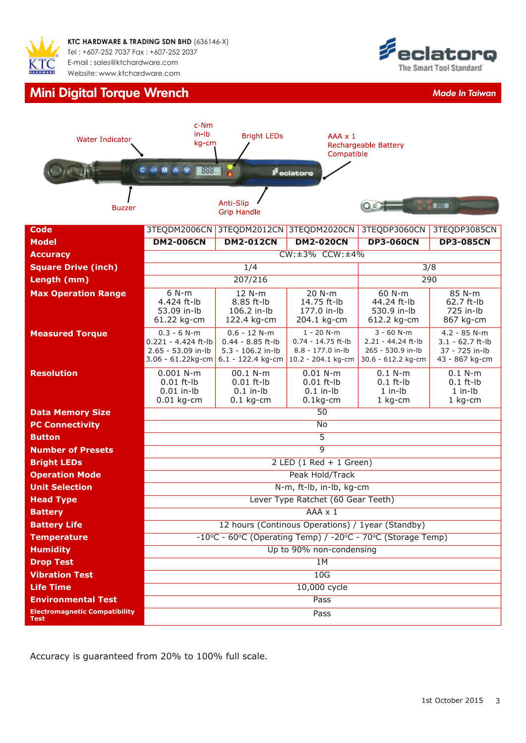

## **Mini Digital Torque Wrench** *Made In Taiwan*





| <b>Code</b>                                         |                                                                                    | 3TEQDM2006CN 3TEQDM2012CN 3TEQDM2020CN                                          |                                                                                 | 3TEQDP3060CN                                                                  | 3TEQDP3085CN                                                             |  |  |
|-----------------------------------------------------|------------------------------------------------------------------------------------|---------------------------------------------------------------------------------|---------------------------------------------------------------------------------|-------------------------------------------------------------------------------|--------------------------------------------------------------------------|--|--|
| <b>Model</b>                                        | <b>DM2-006CN</b>                                                                   | <b>DM2-012CN</b>                                                                | <b>DM2-020CN</b>                                                                | <b>DP3-060CN</b>                                                              | <b>DP3-085CN</b>                                                         |  |  |
| <b>Accuracy</b>                                     |                                                                                    |                                                                                 | $CW: \pm 3\%$ CCW: $\pm 4\%$                                                    |                                                                               |                                                                          |  |  |
| <b>Square Drive (inch)</b>                          |                                                                                    | 1/4                                                                             |                                                                                 | $\overline{3/8}$                                                              |                                                                          |  |  |
| Length (mm)                                         |                                                                                    | 207/216                                                                         |                                                                                 |                                                                               | 290                                                                      |  |  |
| <b>Max Operation Range</b>                          | $6 N-m$<br>4.424 ft-lb<br>53.09 in-lb<br>61.22 kg-cm                               | 12 N-m<br>8.85 ft-lb<br>106.2 in-lb<br>122.4 kg-cm                              | 20 N-m<br>14.75 ft-lb<br>177.0 in-lb<br>204.1 kg-cm                             | 60 N-m<br>44.24 ft-lb<br>530.9 in-lb<br>612.2 kg-cm                           | 85 N-m<br>62.7 ft-lb<br>725 in-lb<br>867 kg-cm                           |  |  |
| <b>Measured Torque</b>                              | $0.3 - 6 N-m$<br>0.221 - 4.424 ft-lb<br>2.65 - 53.09 in-lb<br>$3.06 - 61.22$ kg-cm | $0.6 - 12 N-m$<br>$0.44 - 8.85$ ft-lb<br>5.3 - 106.2 in-lb<br>6.1 - 122.4 kg-cm | $1 - 20$ N-m<br>$0.74 - 14.75$ ft-lb<br>8.8 - 177.0 in-lb<br>10.2 - 204.1 kg-cm | $3 - 60$ N-m<br>2.21 - 44.24 ft-lb<br>265 - 530.9 in-lb<br>30.6 - 612.2 kg-cm | $4.2 - 85$ N-m<br>$3.1 - 62.7$ ft-lb<br>37 - 725 in-lb<br>43 - 867 kg-cm |  |  |
| <b>Resolution</b>                                   | $0.001$ N-m<br>$0.01$ ft-lb<br>$0.01$ in-lb<br>$0.01$ kg-cm                        | 00.1 N-m<br>$0.01$ ft-lb<br>$0.1$ in-lb<br>$0.1$ kg-cm                          | $0.01 N-m$<br>$0.01$ ft-lb<br>$0.1$ in-lb<br>$0.1$ kg-cm                        | $0.1$ N-m<br>$0.1$ ft- $lb$<br>$1$ in- $Ib$<br>$1$ kg-cm                      | $0.1 N-m$<br>$0.1$ ft-lb<br>$1$ in- $Ib$<br>$1$ kg-cm                    |  |  |
| <b>Data Memory Size</b>                             |                                                                                    |                                                                                 | $\overline{50}$                                                                 |                                                                               |                                                                          |  |  |
| <b>PC Connectivity</b>                              |                                                                                    |                                                                                 | <b>No</b>                                                                       |                                                                               |                                                                          |  |  |
| <b>Button</b>                                       |                                                                                    |                                                                                 | $\overline{5}$                                                                  |                                                                               |                                                                          |  |  |
| <b>Number of Presets</b>                            |                                                                                    |                                                                                 | $\overline{9}$                                                                  |                                                                               |                                                                          |  |  |
| <b>Bright LEDs</b>                                  |                                                                                    |                                                                                 | $2$ LED $(1$ Red + 1 Green)                                                     |                                                                               |                                                                          |  |  |
| <b>Operation Mode</b>                               |                                                                                    | Peak Hold/Track                                                                 |                                                                                 |                                                                               |                                                                          |  |  |
| <b>Unit Selection</b>                               |                                                                                    |                                                                                 | N-m, ft-lb, in-lb, kg-cm                                                        |                                                                               |                                                                          |  |  |
| <b>Head Type</b>                                    |                                                                                    |                                                                                 | Lever Type Ratchet (60 Gear Teeth)                                              |                                                                               |                                                                          |  |  |
| <b>Battery</b>                                      | $AAA \times 1$<br>12 hours (Continous Operations) / 1year (Standby)                |                                                                                 |                                                                                 |                                                                               |                                                                          |  |  |
| <b>Battery Life</b>                                 |                                                                                    |                                                                                 |                                                                                 |                                                                               |                                                                          |  |  |
| <b>Temperature</b>                                  | -10°C - 60°C (Operating Temp) / -20°C - 70°C (Storage Temp)                        |                                                                                 |                                                                                 |                                                                               |                                                                          |  |  |
| <b>Humidity</b><br><b>Drop Test</b>                 | Up to 90% non-condensing<br>1M                                                     |                                                                                 |                                                                                 |                                                                               |                                                                          |  |  |
| <b>Vibration Test</b>                               |                                                                                    |                                                                                 | 10G                                                                             |                                                                               |                                                                          |  |  |
| <b>Life Time</b>                                    | 10,000 cycle                                                                       |                                                                                 |                                                                                 |                                                                               |                                                                          |  |  |
| <b>Environmental Test</b>                           |                                                                                    |                                                                                 | Pass                                                                            |                                                                               |                                                                          |  |  |
| <b>Electromagnetic Compatibility</b><br><b>Test</b> |                                                                                    |                                                                                 | Pass                                                                            |                                                                               |                                                                          |  |  |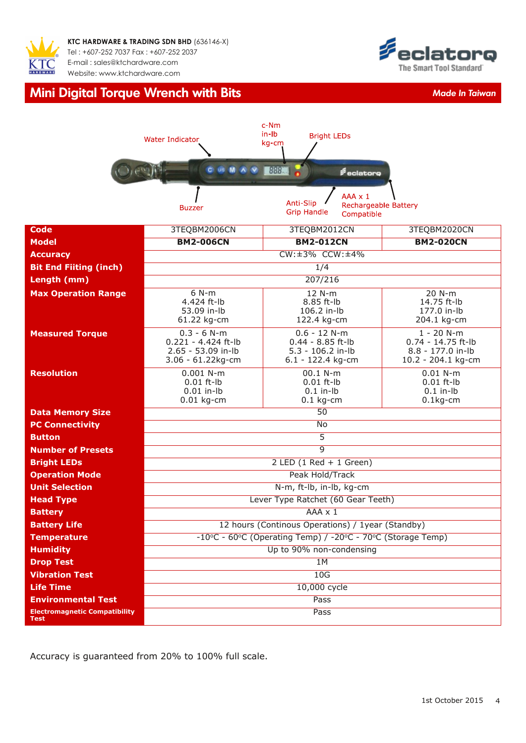

**KTC HARDWARE & TRADING SDN BHD** (636146-X) Tel : +607-252 7037 Fax : +607-252 2037 E-mail : s[ales@ktchardware.com](mailto:askaboutit@ewins.com.my) [Website: www.ktchardw](http://www.ewins.com.my)are.com

## **Mini Digital Torque Wrench with Bits** *Made In Taiwan*



|                                              | <b>Water Indicator</b>                                                            | c-Nm<br>$in$ - $lb$<br><b>Bright LEDs</b><br>kg-cm                                             |                                                                                 |  |  |  |  |
|----------------------------------------------|-----------------------------------------------------------------------------------|------------------------------------------------------------------------------------------------|---------------------------------------------------------------------------------|--|--|--|--|
|                                              | <b>C</b> us M A V                                                                 | 888<br>eclatoro                                                                                |                                                                                 |  |  |  |  |
|                                              | <b>Buzzer</b>                                                                     | $AAA \times 1$<br>Anti-Slip<br><b>Rechargeable Battery</b><br><b>Grip Handle</b><br>Compatible |                                                                                 |  |  |  |  |
| <b>Code</b>                                  | 3TEQBM2006CN                                                                      | 3TEQBM2012CN                                                                                   | 3TEQBM2020CN                                                                    |  |  |  |  |
| <b>Model</b>                                 | <b>BM2-006CN</b>                                                                  | <b>BM2-012CN</b>                                                                               | <b>BM2-020CN</b>                                                                |  |  |  |  |
| <b>Accuracy</b>                              |                                                                                   | CW:±3% CCW:±4%                                                                                 |                                                                                 |  |  |  |  |
| <b>Bit End Fiiting (inch)</b>                |                                                                                   | $\frac{1}{4}$                                                                                  |                                                                                 |  |  |  |  |
| Length (mm)                                  |                                                                                   | 207/216                                                                                        |                                                                                 |  |  |  |  |
| <b>Max Operation Range</b>                   | $6 N-m$<br>4.424 ft-lb<br>53.09 in-lb<br>61.22 kg-cm                              | 12 N-m<br>8.85 ft-lb<br>106.2 in-lb<br>122.4 kg-cm                                             | 20 N-m<br>14.75 ft-lb<br>177.0 in-lb<br>204.1 kg-cm                             |  |  |  |  |
| <b>Measured Torque</b>                       | $0.3 - 6 N-m$<br>$0.221 - 4.424$ ft-lb<br>2.65 - 53.09 in-lb<br>3.06 - 61.22kg-cm | $0.6 - 12 N-m$<br>$0.44 - 8.85$ ft-lb<br>$5.3 - 106.2$ in-lb<br>6.1 - 122.4 kg-cm              | $1 - 20$ N-m<br>$0.74 - 14.75$ ft-lb<br>8.8 - 177.0 in-lb<br>10.2 - 204.1 kg-cm |  |  |  |  |
| <b>Resolution</b>                            | $0.001$ N-m<br>$0.01$ ft-lb<br>$0.01$ in-lb<br>$0.01$ kg-cm                       | 00.1 N-m<br>$0.01$ ft-lb<br>$0.1$ in-lb<br>$0.1$ kg-cm                                         | $0.01 N-m$<br>$0.01$ ft-lb<br>$0.1$ in- $lb$<br>$0.1$ kg-cm                     |  |  |  |  |
| <b>Data Memory Size</b>                      | 50                                                                                |                                                                                                |                                                                                 |  |  |  |  |
| <b>PC Connectivity</b>                       |                                                                                   | No                                                                                             |                                                                                 |  |  |  |  |
| <b>Button</b>                                |                                                                                   | $\overline{5}$                                                                                 |                                                                                 |  |  |  |  |
| <b>Number of Presets</b>                     | $\overline{9}$                                                                    |                                                                                                |                                                                                 |  |  |  |  |
| <b>Bright LEDs</b>                           |                                                                                   | $2$ LED $(1$ Red + 1 Green)                                                                    |                                                                                 |  |  |  |  |
| <b>Operation Mode</b>                        |                                                                                   | Peak Hold/Track                                                                                |                                                                                 |  |  |  |  |
| <b>Unit Selection</b>                        |                                                                                   | N-m, ft-lb, in-lb, kg-cm                                                                       |                                                                                 |  |  |  |  |
| <b>Head Type</b>                             |                                                                                   | Lever Type Ratchet (60 Gear Teeth)                                                             |                                                                                 |  |  |  |  |
| <b>Battery</b>                               | $AAA \times 1$                                                                    |                                                                                                |                                                                                 |  |  |  |  |
| <b>Battery Life</b>                          | 12 hours (Continous Operations) / 1year (Standby)                                 |                                                                                                |                                                                                 |  |  |  |  |
| <b>Temperature</b>                           | -10°C - 60°C (Operating Temp) / -20°C - 70°C (Storage Temp)                       |                                                                                                |                                                                                 |  |  |  |  |
| <b>Humidity</b>                              |                                                                                   | Up to 90% non-condensing                                                                       |                                                                                 |  |  |  |  |
| <b>Drop Test</b>                             |                                                                                   | 1M                                                                                             |                                                                                 |  |  |  |  |
| <b>Vibration Test</b>                        |                                                                                   | 10G                                                                                            |                                                                                 |  |  |  |  |
| <b>Life Time</b>                             |                                                                                   | 10,000 cycle                                                                                   |                                                                                 |  |  |  |  |
| <b>Environmental Test</b>                    |                                                                                   | Pass                                                                                           |                                                                                 |  |  |  |  |
| <b>Electromagnetic Compatibility</b><br>Test |                                                                                   | Pass                                                                                           |                                                                                 |  |  |  |  |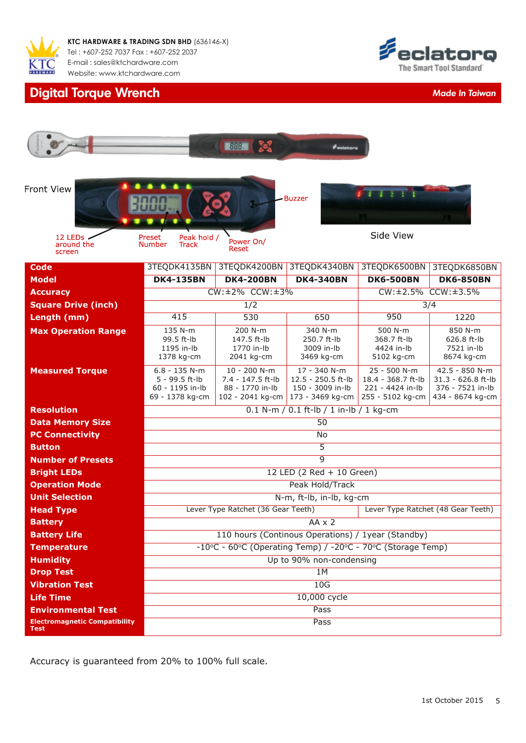

## **Digital Torque Wrench** *Made In Taiwan*



|                                                     |                                                                          | $\blacksquare$ $\blacksquare$ $\blacksquare$ $\blacksquare$ $\blacksquare$ $\blacksquare$ $\blacksquare$ $\blacksquare$ $\blacksquare$ $\blacksquare$ $\blacksquare$ $\blacksquare$ $\blacksquare$ $\blacksquare$ $\blacksquare$ $\blacksquare$ $\blacksquare$ $\blacksquare$ $\blacksquare$ $\blacksquare$ $\blacksquare$ $\blacksquare$ $\blacksquare$ $\blacksquare$ $\blacksquare$ $\blacksquare$ $\blacksquare$ $\blacksquare$ $\blacksquare$ $\blacksquare$ $\blacksquare$ $\blacks$ | <b><i>Peclatore</i></b>                                                      |                                                                            |                                                                              |  |  |
|-----------------------------------------------------|--------------------------------------------------------------------------|--------------------------------------------------------------------------------------------------------------------------------------------------------------------------------------------------------------------------------------------------------------------------------------------------------------------------------------------------------------------------------------------------------------------------------------------------------------------------------------------|------------------------------------------------------------------------------|----------------------------------------------------------------------------|------------------------------------------------------------------------------|--|--|
| Front View<br>12 LEDS                               | Peak hold /<br>Preset                                                    | Power On/                                                                                                                                                                                                                                                                                                                                                                                                                                                                                  | <b>Buzzer</b>                                                                | Side View                                                                  |                                                                              |  |  |
| around the<br>screen                                | Number<br>Track                                                          | Reset                                                                                                                                                                                                                                                                                                                                                                                                                                                                                      |                                                                              |                                                                            |                                                                              |  |  |
| <b>Code</b>                                         | 3TEQDK4135BN                                                             | 3TEQDK4200BN                                                                                                                                                                                                                                                                                                                                                                                                                                                                               | 3TEQDK4340BN                                                                 | 3TEQDK6500BN                                                               | 3TEQDK6850BN                                                                 |  |  |
| <b>Model</b>                                        | <b>DK4-135BN</b>                                                         | <b>DK4-200BN</b>                                                                                                                                                                                                                                                                                                                                                                                                                                                                           | <b>DK4-340BN</b>                                                             | <b>DK6-500BN</b>                                                           | <b>DK6-850BN</b>                                                             |  |  |
| <b>Accuracy</b>                                     |                                                                          | $CW: \pm 2\%$ CCW: $\pm 3\%$                                                                                                                                                                                                                                                                                                                                                                                                                                                               |                                                                              |                                                                            | CW:±2.5% CCW:±3.5%                                                           |  |  |
| <b>Square Drive (inch)</b>                          |                                                                          | 1/2                                                                                                                                                                                                                                                                                                                                                                                                                                                                                        |                                                                              |                                                                            | 3/4                                                                          |  |  |
| Length (mm)                                         | 415                                                                      | 530                                                                                                                                                                                                                                                                                                                                                                                                                                                                                        | 650                                                                          | 950                                                                        | 1220                                                                         |  |  |
| <b>Max Operation Range</b>                          | 135 N-m<br>99.5 ft-lb<br>1195 in-lb<br>1378 kg-cm                        | 200 N-m<br>147.5 ft-lb<br>1770 in-lb<br>2041 kg-cm                                                                                                                                                                                                                                                                                                                                                                                                                                         | 340 N-m<br>250.7 ft-lb<br>3009 in-lb<br>3469 kg-cm                           | 500 N-m<br>368.7 ft-lb<br>4424 in-lb<br>5102 kg-cm                         | 850 N-m<br>626.8 ft-lb<br>7521 in-lb<br>8674 kg-cm                           |  |  |
| <b>Measured Torque</b>                              | $6.8 - 135 N-m$<br>5 - 99.5 ft-lb<br>60 - 1195 in-lb<br>69 - 1378 kg-cm  | 10 - 200 N-m<br>7.4 - 147.5 ft-lb<br>88 - 1770 in-lb<br>102 - 2041 kg-cm                                                                                                                                                                                                                                                                                                                                                                                                                   | 17 - 340 N-m<br>$12.5 - 250.5$ ft-lb<br>150 - 3009 in-lb<br>173 - 3469 kg-cm | 25 - 500 N-m<br>18.4 - 368.7 ft-lb<br>221 - 4424 in-lb<br>255 - 5102 kg-cm | 42.5 - 850 N-m<br>31.3 - 626.8 ft-lb<br>376 - 7521 in-lb<br>434 - 8674 kg-cm |  |  |
| <b>Resolution</b>                                   | 0.1 N-m / 0.1 ft-lb / 1 in-lb / 1 kg-cm                                  |                                                                                                                                                                                                                                                                                                                                                                                                                                                                                            |                                                                              |                                                                            |                                                                              |  |  |
| <b>Data Memory Size</b>                             | 50                                                                       |                                                                                                                                                                                                                                                                                                                                                                                                                                                                                            |                                                                              |                                                                            |                                                                              |  |  |
| <b>PC Connectivity</b>                              |                                                                          |                                                                                                                                                                                                                                                                                                                                                                                                                                                                                            | <b>No</b>                                                                    |                                                                            |                                                                              |  |  |
| <b>Button</b>                                       |                                                                          | $\overline{5}$                                                                                                                                                                                                                                                                                                                                                                                                                                                                             |                                                                              |                                                                            |                                                                              |  |  |
| <b>Number of Presets</b>                            | $\overline{9}$                                                           |                                                                                                                                                                                                                                                                                                                                                                                                                                                                                            |                                                                              |                                                                            |                                                                              |  |  |
| <b>Bright LEDs</b>                                  |                                                                          |                                                                                                                                                                                                                                                                                                                                                                                                                                                                                            | 12 LED (2 Red + 10 Green)                                                    |                                                                            |                                                                              |  |  |
| <b>Operation Mode</b>                               |                                                                          |                                                                                                                                                                                                                                                                                                                                                                                                                                                                                            | Peak Hold/Track                                                              |                                                                            |                                                                              |  |  |
| <b>Unit Selection</b>                               |                                                                          |                                                                                                                                                                                                                                                                                                                                                                                                                                                                                            | N-m, ft-lb, in-lb, kg-cm                                                     |                                                                            |                                                                              |  |  |
| <b>Head Type</b>                                    | Lever Type Ratchet (36 Gear Teeth)<br>Lever Type Ratchet (48 Gear Teeth) |                                                                                                                                                                                                                                                                                                                                                                                                                                                                                            |                                                                              |                                                                            |                                                                              |  |  |
| <b>Battery</b>                                      |                                                                          |                                                                                                                                                                                                                                                                                                                                                                                                                                                                                            | $AA \times 2$                                                                |                                                                            |                                                                              |  |  |
| <b>Battery Life</b>                                 |                                                                          |                                                                                                                                                                                                                                                                                                                                                                                                                                                                                            | 110 hours (Continous Operations) / 1year (Standby)                           |                                                                            |                                                                              |  |  |
| <b>Temperature</b>                                  | -10°C - 60°C (Operating Temp) / -20°C - 70°C (Storage Temp)              |                                                                                                                                                                                                                                                                                                                                                                                                                                                                                            |                                                                              |                                                                            |                                                                              |  |  |
| <b>Humidity</b>                                     |                                                                          |                                                                                                                                                                                                                                                                                                                                                                                                                                                                                            | Up to 90% non-condensing                                                     |                                                                            |                                                                              |  |  |
| <b>Drop Test</b>                                    |                                                                          |                                                                                                                                                                                                                                                                                                                                                                                                                                                                                            | 1M                                                                           |                                                                            |                                                                              |  |  |
| <b>Vibration Test</b>                               |                                                                          |                                                                                                                                                                                                                                                                                                                                                                                                                                                                                            | 10G                                                                          |                                                                            |                                                                              |  |  |
| <b>Life Time</b>                                    |                                                                          |                                                                                                                                                                                                                                                                                                                                                                                                                                                                                            | 10,000 cycle                                                                 |                                                                            |                                                                              |  |  |
| <b>Environmental Test</b>                           |                                                                          |                                                                                                                                                                                                                                                                                                                                                                                                                                                                                            | Pass                                                                         |                                                                            |                                                                              |  |  |
| <b>Electromagnetic Compatibility</b><br><b>Test</b> |                                                                          |                                                                                                                                                                                                                                                                                                                                                                                                                                                                                            | Pass                                                                         |                                                                            |                                                                              |  |  |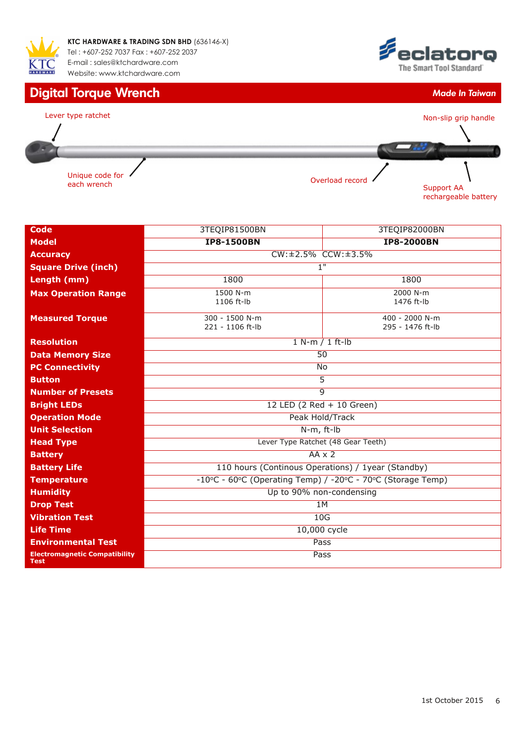

## **Digital Torque Wrench** *Made In Taiwan*





| <b>Code</b>                                         | 3TEQIP81500BN                                               | 3TEQIP82000BN                      |  |  |  |  |
|-----------------------------------------------------|-------------------------------------------------------------|------------------------------------|--|--|--|--|
| <b>Model</b>                                        | <b>IP8-1500BN</b>                                           | <b>IP8-2000BN</b>                  |  |  |  |  |
| <b>Accuracy</b>                                     | $CW: \pm 2.5\%$ CCW: $\pm 3.5\%$                            |                                    |  |  |  |  |
| <b>Square Drive (inch)</b>                          | 1"                                                          |                                    |  |  |  |  |
| Length (mm)                                         | 1800                                                        | 1800                               |  |  |  |  |
| <b>Max Operation Range</b>                          | 1500 N-m<br>1106 ft-lb                                      | 2000 N-m<br>1476 ft-lb             |  |  |  |  |
| <b>Measured Torque</b>                              | 300 - 1500 N-m<br>221 - 1106 ft-lb                          | 400 - 2000 N-m<br>295 - 1476 ft-lb |  |  |  |  |
| <b>Resolution</b>                                   | $1 N-m / 1 ft-lb$                                           |                                    |  |  |  |  |
| <b>Data Memory Size</b>                             | 50                                                          |                                    |  |  |  |  |
| <b>PC Connectivity</b>                              | No                                                          |                                    |  |  |  |  |
| <b>Button</b>                                       | $\overline{5}$                                              |                                    |  |  |  |  |
| <b>Number of Presets</b>                            | $\overline{9}$                                              |                                    |  |  |  |  |
| <b>Bright LEDs</b>                                  | 12 LED (2 Red + 10 Green)                                   |                                    |  |  |  |  |
| <b>Operation Mode</b>                               | Peak Hold/Track                                             |                                    |  |  |  |  |
| <b>Unit Selection</b>                               | N-m, ft-lb                                                  |                                    |  |  |  |  |
| <b>Head Type</b>                                    | Lever Type Ratchet (48 Gear Teeth)                          |                                    |  |  |  |  |
| <b>Battery</b>                                      | $AA \times 2$                                               |                                    |  |  |  |  |
| <b>Battery Life</b>                                 | 110 hours (Continous Operations) / 1year (Standby)          |                                    |  |  |  |  |
| <b>Temperature</b>                                  | -10°C - 60°C (Operating Temp) / -20°C - 70°C (Storage Temp) |                                    |  |  |  |  |
| <b>Humidity</b>                                     | Up to 90% non-condensing                                    |                                    |  |  |  |  |
| <b>Drop Test</b>                                    | 1M                                                          |                                    |  |  |  |  |
| <b>Vibration Test</b>                               | 10G                                                         |                                    |  |  |  |  |
| <b>Life Time</b>                                    | 10,000 cycle                                                |                                    |  |  |  |  |
| <b>Environmental Test</b>                           | Pass                                                        |                                    |  |  |  |  |
| <b>Electromagnetic Compatibility</b><br><b>Test</b> | Pass                                                        |                                    |  |  |  |  |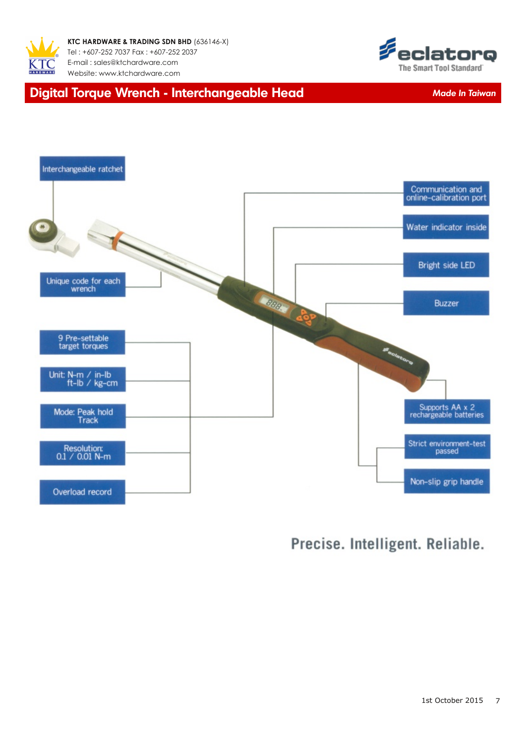



## **Digital Torque Wrench - Interchangeable Head** *Made In Taiwan*



## Precise. Intelligent. Reliable.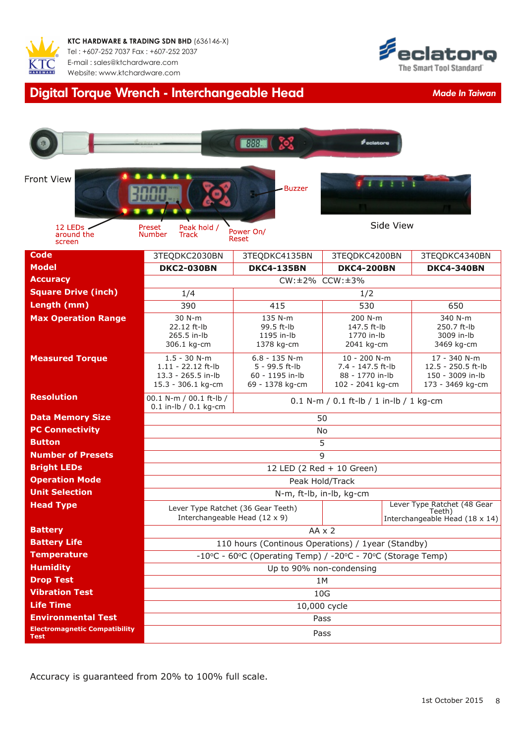



# **Digital Torque Wrench Interchangeable Head** *Made In Taiwan*

|                                                                   |                                                                                  | <b>BREE</b> CO                                                          | <b><i><u>eclatore</u></i></b>                                            |                                                                                |  |
|-------------------------------------------------------------------|----------------------------------------------------------------------------------|-------------------------------------------------------------------------|--------------------------------------------------------------------------|--------------------------------------------------------------------------------|--|
| <b>Front View</b>                                                 |                                                                                  | <b>Buzzer</b>                                                           |                                                                          |                                                                                |  |
| 12 LED <sub>s</sub><br>around the<br>screen                       | Peak hold /<br>Preset<br><b>Number</b><br>Track                                  | Power On/<br>Reset                                                      | Side View                                                                |                                                                                |  |
| <b>Code</b>                                                       | 3TEQDKC2030BN                                                                    | 3TEQDKC4135BN                                                           | 3TEQDKC4200BN                                                            | 3TEQDKC4340BN                                                                  |  |
| <b>Model</b>                                                      | <b>DKC2-030BN</b>                                                                | <b>DKC4-135BN</b>                                                       | <b>DKC4-200BN</b>                                                        | <b>DKC4-340BN</b>                                                              |  |
| <b>Accuracy</b>                                                   |                                                                                  | CW: ±2% CCW: ±3%                                                        |                                                                          |                                                                                |  |
| <b>Square Drive (inch)</b>                                        | 1/4                                                                              |                                                                         | 1/2                                                                      |                                                                                |  |
| Length (mm)                                                       | 390                                                                              | 415                                                                     | 530                                                                      | 650                                                                            |  |
| <b>Max Operation Range</b>                                        | 30 N-m<br>22.12 ft-lb<br>265.5 in-lb<br>306.1 kg-cm                              | 135 N-m<br>99.5 ft-lb<br>1195 in-lb<br>1378 kg-cm                       | 200 N-m<br>147.5 ft-lb<br>1770 in-lb<br>2041 kg-cm                       | 340 N-m<br>250.7 ft-lb<br>3009 in-lb<br>3469 kg-cm                             |  |
| <b>Measured Torque</b>                                            | $1.5 - 30$ N-m<br>1.11 - 22.12 ft-lb<br>13.3 - 265.5 in-lb<br>15.3 - 306.1 kg-cm | $6.8 - 135$ N-m<br>5 - 99.5 ft-lb<br>60 - 1195 in-lb<br>69 - 1378 kg-cm | 10 - 200 N-m<br>7.4 - 147.5 ft-lb<br>88 - 1770 in-lb<br>102 - 2041 kg-cm | 17 - 340 N-m<br>12.5 - 250.5 ft-lb<br>150 - 3009 in-lb<br>173 - 3469 kg-cm     |  |
| <b>Resolution</b>                                                 | 00.1 N-m / 00.1 ft-lb /<br>$0.1$ in-lb / $0.1$ kg-cm                             |                                                                         | $0.1$ N-m / 0.1 ft-lb / 1 in-lb / 1 kg-cm                                |                                                                                |  |
| <b>Data Memory Size</b>                                           | 50                                                                               |                                                                         |                                                                          |                                                                                |  |
| <b>PC Connectivity</b>                                            | No                                                                               |                                                                         |                                                                          |                                                                                |  |
| <b>Button</b>                                                     | 5                                                                                |                                                                         |                                                                          |                                                                                |  |
| <b>Number of Presets</b>                                          |                                                                                  | 9                                                                       |                                                                          |                                                                                |  |
| <b>Bright LEDs</b>                                                | $12$ LED (2 Red + 10 Green)                                                      |                                                                         |                                                                          |                                                                                |  |
| <b>Operation Mode</b>                                             |                                                                                  |                                                                         | Peak Hold/Track                                                          |                                                                                |  |
| <b>Unit Selection</b>                                             |                                                                                  |                                                                         | N-m, ft-lb, in-lb, kg-cm                                                 |                                                                                |  |
| <b>Head Type</b>                                                  | Lever Type Ratchet (36 Gear Teeth)<br>Interchangeable Head (12 x 9)              |                                                                         |                                                                          | Lever Type Ratchet (48 Gear<br>Teeth)<br>Interchangeable Head $(18 \times 14)$ |  |
| <b>Battery</b>                                                    |                                                                                  | $AA \times 2$                                                           |                                                                          |                                                                                |  |
| <b>Battery Life</b>                                               |                                                                                  |                                                                         | 110 hours (Continous Operations) / 1year (Standby)                       |                                                                                |  |
| <b>Temperature</b>                                                |                                                                                  |                                                                         | -10°C - 60°C (Operating Temp) / -20°C - 70°C (Storage Temp)              |                                                                                |  |
| <b>Humidity</b>                                                   |                                                                                  | Up to 90% non-condensing                                                |                                                                          |                                                                                |  |
| <b>Drop Test</b>                                                  |                                                                                  |                                                                         | 1M                                                                       |                                                                                |  |
| <b>Vibration Test</b>                                             |                                                                                  |                                                                         | 10G                                                                      |                                                                                |  |
| <b>Life Time</b>                                                  |                                                                                  |                                                                         | 10,000 cycle                                                             |                                                                                |  |
| <b>Environmental Test</b><br><b>Electromagnetic Compatibility</b> |                                                                                  | Pass                                                                    |                                                                          |                                                                                |  |
| Test                                                              |                                                                                  |                                                                         | Pass                                                                     |                                                                                |  |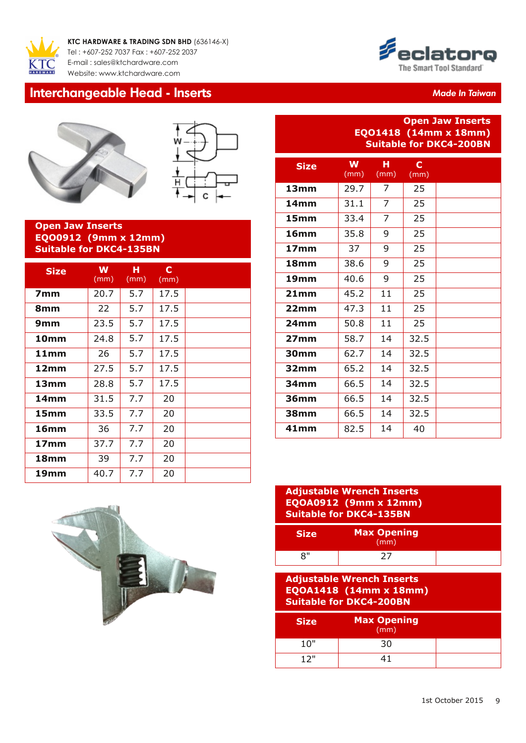

**KTC HARDWARE & TRADING SDN BHD** (636146-X) Tel : +607-252 7037 Fax : +607-252 2037 E-mail : s[ales@ktchardware.com](mailto:askaboutit@ewins.com.my) [Website: www.ktchardw](http://www.ewins.com.my)are.com

### **Interchangeable Head - Inserts** *Made In Taiwan Made In Taiwan*





#### **Open Jaw Inserts EQO0912 (9mm x 12mm) Suitable for DKC4-135BN**

| <b>Size</b>      | W<br>(mm) | н<br>(mm) | C<br>(mm) |  |
|------------------|-----------|-----------|-----------|--|
| 7 <sub>mm</sub>  | 20.7      | 5.7       | 17.5      |  |
| 8mm              | 22        | 5.7       | 17.5      |  |
| 9 <sub>mm</sub>  | 23.5      | 5.7       | 17.5      |  |
| 10 <sub>mm</sub> | 24.8      | 5.7       | 17.5      |  |
| 11mm             | 26        | 5.7       | 17.5      |  |
| 12mm             | 27.5      | 5.7       | 17.5      |  |
| 13 <sub>mm</sub> | 28.8      | 5.7       | 17.5      |  |
| 14 <sub>mm</sub> | 31.5      | 7.7       | 20        |  |
| 15 <sub>mm</sub> | 33.5      | 7.7       | 20        |  |
| 16 <sub>mm</sub> | 36        | 7.7       | 20        |  |
| 17 <sub>mm</sub> | 37.7      | 7.7       | 20        |  |
| <b>18mm</b>      | 39        | 7.7       | 20        |  |
| 19mm             | 40.7      | 7.7       | 20        |  |



#### **Open Jaw Inserts EQO1418 (14mm x 18mm) Suitable for DKC4-200BN**

| <b>Size</b>      | W<br>(mm) | н<br>(mm)      | $\mathbf c$<br>(mm) |  |
|------------------|-----------|----------------|---------------------|--|
| 13mm             | 29.7      | 7              | 25                  |  |
| 14 <sub>mm</sub> | 31.1      | 7              | 25                  |  |
| 15 <sub>mm</sub> | 33.4      | $\overline{7}$ | 25                  |  |
| 16 <sub>mm</sub> | 35.8      | 9              | 25                  |  |
| 17 <sub>mm</sub> | 37        | 9              | 25                  |  |
| 18 <sub>mm</sub> | 38.6      | 9              | 25                  |  |
| 19 <sub>mm</sub> | 40.6      | 9              | 25                  |  |
| 21mm             | 45.2      | 11             | 25                  |  |
| 22mm             | 47.3      | 11             | 25                  |  |
| 24 <sub>mm</sub> | 50.8      | 11             | 25                  |  |
| 27 <sub>mm</sub> | 58.7      | 14             | 32.5                |  |
| 30mm             | 62.7      | 14             | 32.5                |  |
| 32 <sub>mm</sub> | 65.2      | 14             | 32.5                |  |
| 34 <sub>mm</sub> | 66.5      | 14             | 32.5                |  |
| 36mm             | 66.5      | 14             | 32.5                |  |
| <b>38mm</b>      | 66.5      | 14             | 32.5                |  |
| 41mm             | 82.5      | 14             | 40                  |  |



| <b>Adjustable Wrench Inserts</b><br><b>EQOA0912 (9mm x 12mm)</b><br><b>Suitable for DKC4-135BN</b> |                            |  |
|----------------------------------------------------------------------------------------------------|----------------------------|--|
| <b>Size</b>                                                                                        | <b>Max Opening</b><br>(mm) |  |
| 8"                                                                                                 | 27                         |  |
| <b>Adjustable Wrench Inserts</b><br>$EQOA1418$ (14mm x 18mm)<br><b>Suitable for DKC4-200BN</b>     |                            |  |
|                                                                                                    |                            |  |
| <b>Size</b>                                                                                        | <b>Max Opening</b><br>(mm) |  |
| 10"                                                                                                | 30                         |  |